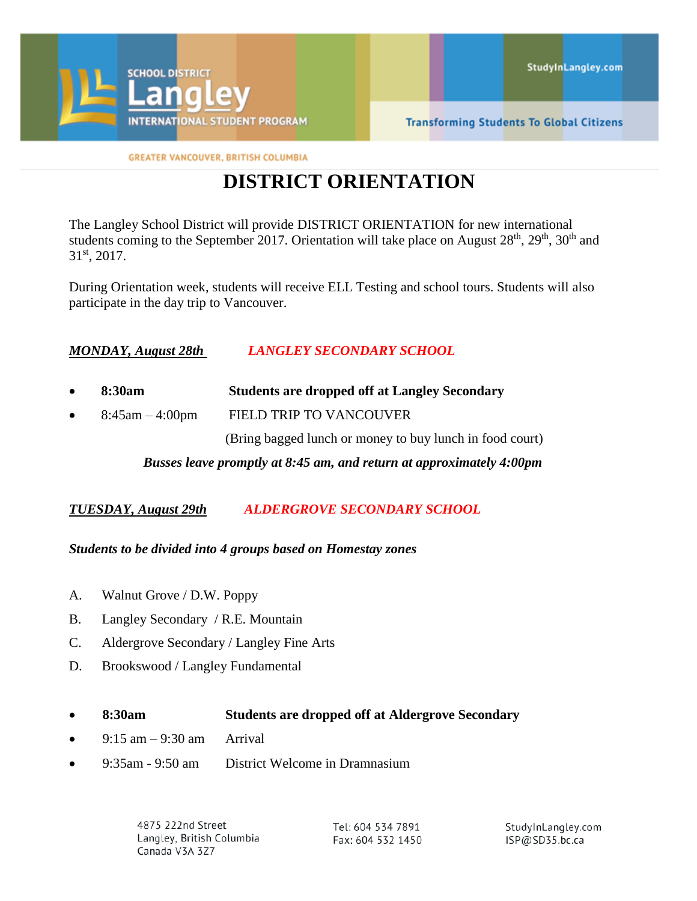

**GREATER VANCOUVER, BRITISH COLUMBIA** 

# **DISTRICT ORIENTATION**

The Langley School District will provide DISTRICT ORIENTATION for new international students coming to the September 2017. Orientation will take place on August  $28<sup>th</sup>$ ,  $29<sup>th</sup>$ ,  $30<sup>th</sup>$  and 31 st, 2017.

During Orientation week, students will receive ELL Testing and school tours. Students will also participate in the day trip to Vancouver.

## *MONDAY, August 28th LANGLEY SECONDARY SCHOOL*

- **8:30am Students are dropped off at Langley Secondary**
- 8:45am 4:00pm FIELD TRIP TO VANCOUVER

(Bring bagged lunch or money to buy lunch in food court)

*Busses leave promptly at 8:45 am, and return at approximately 4:00pm*

*TUESDAY, August 29th ALDERGROVE SECONDARY SCHOOL*

#### *Students to be divided into 4 groups based on Homestay zones*

- A. Walnut Grove / D.W. Poppy
- B. Langley Secondary / R.E. Mountain
- C. Aldergrove Secondary / Langley Fine Arts
- D. Brookswood / Langley Fundamental

#### **8:30am Students are dropped off at Aldergrove Secondary**

- 9:15 am 9:30 am Arrival
- 9:35am 9:50 am District Welcome in Dramnasium

4875 222nd Street Langley, British Columbia Canada V3A 3Z7

Tel: 604 534 7891 Fax: 604 532 1450 StudyInLangley.com ISP@SD35.bc.ca